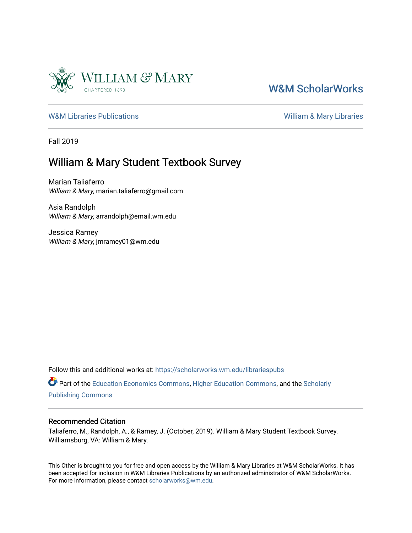

### [W&M ScholarWorks](https://scholarworks.wm.edu/)

[W&M Libraries Publications](https://scholarworks.wm.edu/librariespubs) **William & Mary Libraries** William & Mary Libraries

Fall 2019

### William & Mary Student Textbook Survey

Marian Taliaferro William & Mary, marian.taliaferro@gmail.com

Asia Randolph William & Mary, arrandolph@email.wm.edu

Jessica Ramey William & Mary, jmramey01@wm.edu

Follow this and additional works at: [https://scholarworks.wm.edu/librariespubs](https://scholarworks.wm.edu/librariespubs?utm_source=scholarworks.wm.edu%2Flibrariespubs%2F2&utm_medium=PDF&utm_campaign=PDFCoverPages)

Part of the [Education Economics Commons,](http://network.bepress.com/hgg/discipline/1262?utm_source=scholarworks.wm.edu%2Flibrariespubs%2F2&utm_medium=PDF&utm_campaign=PDFCoverPages) [Higher Education Commons](http://network.bepress.com/hgg/discipline/1245?utm_source=scholarworks.wm.edu%2Flibrariespubs%2F2&utm_medium=PDF&utm_campaign=PDFCoverPages), and the [Scholarly](http://network.bepress.com/hgg/discipline/1273?utm_source=scholarworks.wm.edu%2Flibrariespubs%2F2&utm_medium=PDF&utm_campaign=PDFCoverPages)  [Publishing Commons](http://network.bepress.com/hgg/discipline/1273?utm_source=scholarworks.wm.edu%2Flibrariespubs%2F2&utm_medium=PDF&utm_campaign=PDFCoverPages)

#### Recommended Citation

Taliaferro, M., Randolph, A., & Ramey, J. (October, 2019). William & Mary Student Textbook Survey. Williamsburg, VA: William & Mary.

This Other is brought to you for free and open access by the William & Mary Libraries at W&M ScholarWorks. It has been accepted for inclusion in W&M Libraries Publications by an authorized administrator of W&M ScholarWorks. For more information, please contact [scholarworks@wm.edu](mailto:scholarworks@wm.edu).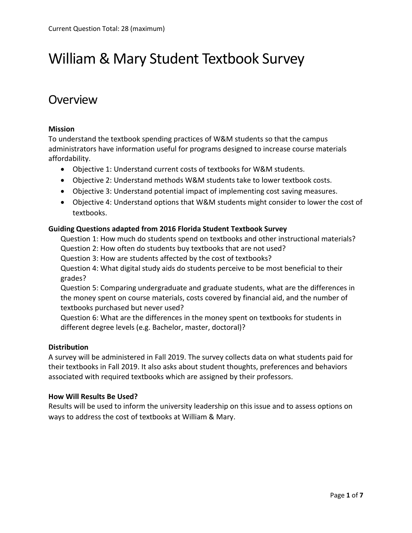# William & Mary Student Textbook Survey

### **Overview**

### **Mission**

To understand the textbook spending practices of W&M students so that the campus administrators have information useful for programs designed to increase course materials affordability.

- Objective 1: Understand current costs of textbooks for W&M students.
- Objective 2: Understand methods W&M students take to lower textbook costs.
- Objective 3: Understand potential impact of implementing cost saving measures.
- Objective 4: Understand options that W&M students might consider to lower the cost of textbooks.

### **Guiding Questions adapted from 2016 Florida Student Textbook Survey**

Question 1: How much do students spend on textbooks and other instructional materials? Question 2: How often do students buy textbooks that are not used?

Question 3: How are students affected by the cost of textbooks?

Question 4: What digital study aids do students perceive to be most beneficial to their grades?

Question 5: Comparing undergraduate and graduate students, what are the differences in the money spent on course materials, costs covered by financial aid, and the number of textbooks purchased but never used?

Question 6: What are the differences in the money spent on textbooks for students in different degree levels (e.g. Bachelor, master, doctoral)?

### **Distribution**

A survey will be administered in Fall 2019. The survey collects data on what students paid for their textbooks in Fall 2019. It also asks about student thoughts, preferences and behaviors associated with required textbooks which are assigned by their professors.

### **How Will Results Be Used?**

Results will be used to inform the university leadership on this issue and to assess options on ways to address the cost of textbooks at William & Mary.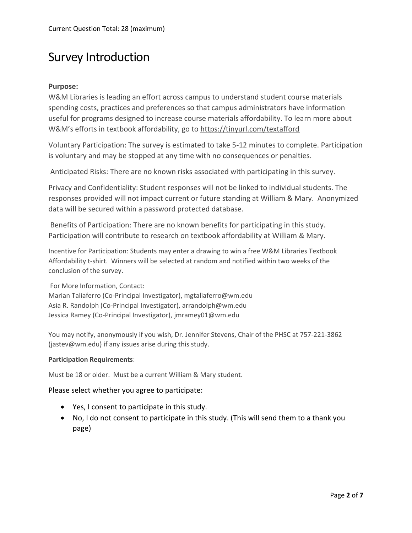# Survey Introduction

### **Purpose:**

W&M Libraries is leading an effort across campus to understand student course materials spending costs, practices and preferences so that campus administrators have information useful for programs designed to increase course materials affordability. To learn more about W&M's efforts in textbook affordability, go to <https://tinyurl.com/textafford>

Voluntary Participation: The survey is estimated to take 5-12 minutes to complete. Participation is voluntary and may be stopped at any time with no consequences or penalties.

Anticipated Risks: There are no known risks associated with participating in this survey.

Privacy and Confidentiality: Student responses will not be linked to individual students. The responses provided will not impact current or future standing at William & Mary. Anonymized data will be secured within a password protected database.

Benefits of Participation: There are no known benefits for participating in this study. Participation will contribute to research on textbook affordability at William & Mary.

Incentive for Participation: Students may enter a drawing to win a free W&M Libraries Textbook Affordability t-shirt. Winners will be selected at random and notified within two weeks of the conclusion of the survey.

For More Information, Contact:

Marian Taliaferro (Co-Principal Investigator)[, mgtaliaferro@wm.edu](mailto:mgtaliaferro@wm.edu) Asia R. Randolph (Co-Principal Investigator)[, arrandolph@wm.edu](mailto:arrandolph@wm.edu) Jessica Ramey (Co-Principal Investigator)[, jmramey01@wm.edu](mailto:jmramey01@wm.edu)

You may notify, anonymously if you wish, Dr. Jennifer Stevens, Chair of the PHSC at 757-221-3862 [\(jastev@wm.edu\)](mailto:jastev@wm.edu) if any issues arise during this study.

#### **Participation Requirements**:

Must be 18 or older. Must be a current William & Mary student.

Please select whether you agree to participate:

- Yes, I consent to participate in this study.
- No, I do not consent to participate in this study. (This will send them to a thank you page)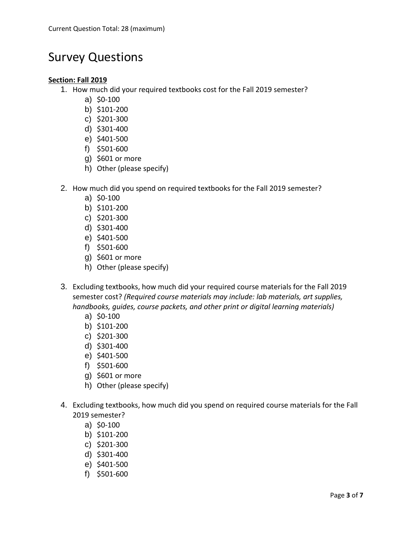# Survey Questions

### **Section: Fall 2019**

- 1. How much did your required textbooks cost for the Fall 2019 semester?
	- a) \$0-100
	- b) \$101-200
	- c) \$201-300
	- d) \$301-400
	- e) \$401-500
	- f) \$501-600
	- g) \$601 or more
	- h) Other (please specify)
- 2. How much did you spend on required textbooks for the Fall 2019 semester?
	- a) \$0-100
	- b) \$101-200
	- c) \$201-300
	- d) \$301-400
	- e) \$401-500
	- f) \$501-600
	- g) \$601 or more
	- h) Other (please specify)
- 3. Excluding textbooks, how much did your required course materials for the Fall 2019 semester cost? *(Required course materials may include: lab materials, art supplies, handbooks, guides, course packets, and other print or digital learning materials)*
	- a) \$0-100
	- b) \$101-200
	- c) \$201-300
	- d) \$301-400
	- e) \$401-500
	- f) \$501-600
	- g) \$601 or more
	- h) Other (please specify)
- 4. Excluding textbooks, how much did you spend on required course materials for the Fall 2019 semester?
	- a) \$0-100
	- b) \$101-200
	- c) \$201-300
	- d) \$301-400
	- e) \$401-500
	- f) \$501-600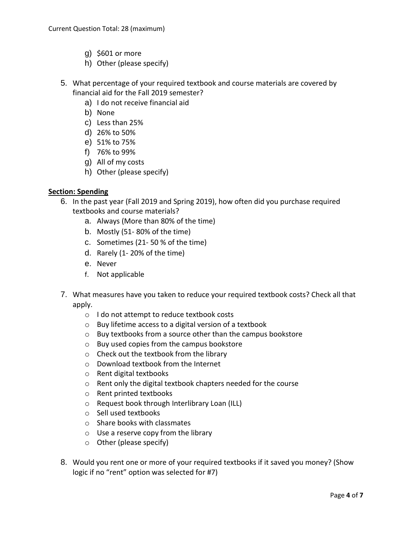- g) \$601 or more
- h) Other (please specify)
- 5. What percentage of your required textbook and course materials are covered by financial aid for the Fall 2019 semester?
	- a) I do not receive financial aid
	- b) None
	- c) Less than 25%
	- d) 26% to 50%
	- e) 51% to 75%
	- f) 76% to 99%
	- g) All of my costs
	- h) Other (please specify)

### **Section: Spending**

- 6. In the past year (Fall 2019 and Spring 2019), how often did you purchase required textbooks and course materials?
	- a. Always (More than 80% of the time)
	- b. Mostly (51- 80% of the time)
	- c. Sometimes (21- 50 % of the time)
	- d. Rarely (1- 20% of the time)
	- e. Never
	- f. Not applicable
- 7. What measures have you taken to reduce your required textbook costs? Check all that apply.
	- o I do not attempt to reduce textbook costs
	- o Buy lifetime access to a digital version of a textbook
	- o Buy textbooks from a source other than the campus bookstore
	- o Buy used copies from the campus bookstore
	- o Check out the textbook from the library
	- o Download textbook from the Internet
	- o Rent digital textbooks
	- o Rent only the digital textbook chapters needed for the course
	- o Rent printed textbooks
	- o Request book through Interlibrary Loan (ILL)
	- o Sell used textbooks
	- o Share books with classmates
	- $\circ$  Use a reserve copy from the library
	- o Other (please specify)
- 8. Would you rent one or more of your required textbooks if it saved you money? (Show logic if no "rent" option was selected for #7)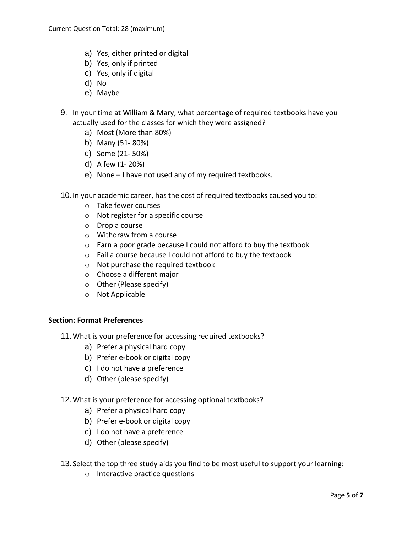- a) Yes, either printed or digital
- b) Yes, only if printed
- c) Yes, only if digital
- d) No
- e) Maybe
- 9. In your time at William & Mary, what percentage of required textbooks have you actually used for the classes for which they were assigned?
	- a) Most (More than 80%)
	- b) Many (51- 80%)
	- c) Some (21- 50%)
	- d) A few (1- 20%)
	- e) None I have not used any of my required textbooks.

10.In your academic career, has the cost of required textbooks caused you to:

- o Take fewer courses
- o Not register for a specific course
- o Drop a course
- o Withdraw from a course
- o Earn a poor grade because I could not afford to buy the textbook
- o Fail a course because I could not afford to buy the textbook
- o Not purchase the required textbook
- o Choose a different major
- o Other (Please specify)
- o Not Applicable

### **Section: Format Preferences**

- 11.What is your preference for accessing required textbooks?
	- a) Prefer a physical hard copy
	- b) Prefer e-book or digital copy
	- c) I do not have a preference
	- d) Other (please specify)
- 12.What is your preference for accessing optional textbooks?
	- a) Prefer a physical hard copy
	- b) Prefer e-book or digital copy
	- c) I do not have a preference
	- d) Other (please specify)
- 13.Select the top three study aids you find to be most useful to support your learning:
	- o Interactive practice questions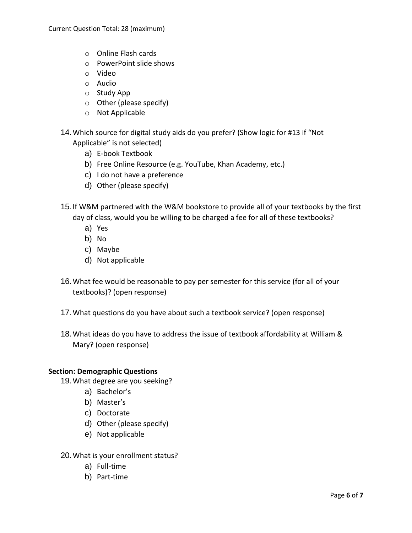- o Online Flash cards
- o PowerPoint slide shows
- o Video
- o Audio
- o Study App
- o Other (please specify)
- o Not Applicable
- 14.Which source for digital study aids do you prefer? (Show logic for #13 if "Not Applicable" is not selected)
	- a) E-book Textbook
	- b) Free Online Resource (e.g. YouTube, Khan Academy, etc.)
	- c) I do not have a preference
	- d) Other (please specify)
- 15.If W&M partnered with the W&M bookstore to provide all of your textbooks by the first day of class, would you be willing to be charged a fee for all of these textbooks?
	- a) Yes
	- b) No
	- c) Maybe
	- d) Not applicable
- 16.What fee would be reasonable to pay per semester for this service (for all of your textbooks)? (open response)
- 17.What questions do you have about such a textbook service? (open response)
- 18.What ideas do you have to address the issue of textbook affordability at William & Mary? (open response)

### **Section: Demographic Questions**

- 19.What degree are you seeking?
	- a) Bachelor's
	- b) Master's
	- c) Doctorate
	- d) Other (please specify)
	- e) Not applicable
- 20.What is your enrollment status?
	- a) Full-time
	- b) Part-time